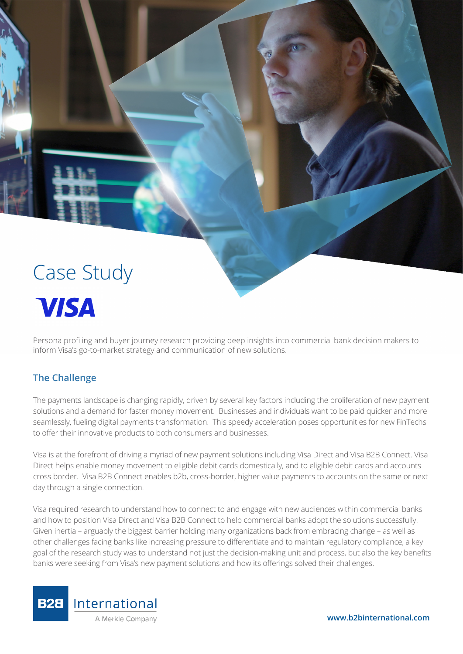

# **Visa**

Persona profiling and buyer journey research providing deep insights into commercial bank decision makers to inform Visa's go-to-market strategy and communication of new solutions.

# **The Challenge**

The payments landscape is changing rapidly, driven by several key factors including the proliferation of new payment solutions and a demand for faster money movement. Businesses and individuals want to be paid quicker and more seamlessly, fueling digital payments transformation. This speedy acceleration poses opportunities for new FinTechs to offer their innovative products to both consumers and businesses.

Visa is at the forefront of driving a myriad of new payment solutions including Visa Direct and Visa B2B Connect. Visa Direct helps enable money movement to eligible debit cards domestically, and to eligible debit cards and accounts cross border. Visa B2B Connect enables b2b, cross-border, higher value payments to accounts on the same or next day through a single connection.

Visa required research to understand how to connect to and engage with new audiences within commercial banks and how to position Visa Direct and Visa B2B Connect to help commercial banks adopt the solutions successfully. Given inertia – arguably the biggest barrier holding many organizations back from embracing change – as well as other challenges facing banks like increasing pressure to differentiate and to maintain regulatory compliance, a key goal of the research study was to understand not just the decision-making unit and process, but also the key benefits banks were seeking from Visa's new payment solutions and how its offerings solved their challenges.

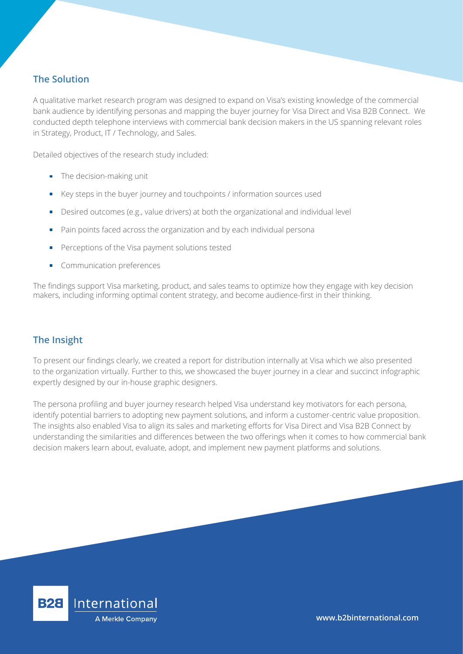## **The Solution**

A qualitative market research program was designed to expand on Visa's existing knowledge of the commercial bank audience by identifying personas and mapping the buyer journey for Visa Direct and Visa B2B Connect. We conducted depth telephone interviews with commercial bank decision makers in the US spanning relevant roles in Strategy, Product, IT / Technology, and Sales.

Detailed objectives of the research study included:

- **The decision-making unit**
- $\blacksquare$  Key steps in the buyer journey and touchpoints / information sources used
- Desired outcomes (e.g., value drivers) at both the organizational and individual level
- Pain points faced across the organization and by each individual persona
- Perceptions of the Visa payment solutions tested
- **Communication preferences**

The findings support Visa marketing, product, and sales teams to optimize how they engage with key decision makers, including informing optimal content strategy, and become audience-first in their thinking.

### **The Insight**

To present our findings clearly, we created a report for distribution internally at Visa which we also presented to the organization virtually. Further to this, we showcased the buyer journey in a clear and succinct infographic expertly designed by our in-house graphic designers.

The persona profiling and buyer journey research helped Visa understand key motivators for each persona, identify potential barriers to adopting new payment solutions, and inform a customer-centric value proposition. The insights also enabled Visa to align its sales and marketing efforts for Visa Direct and Visa B2B Connect by understanding the similarities and differences between the two offerings when it comes to how commercial bank decision makers learn about, evaluate, adopt, and implement new payment platforms and solutions.